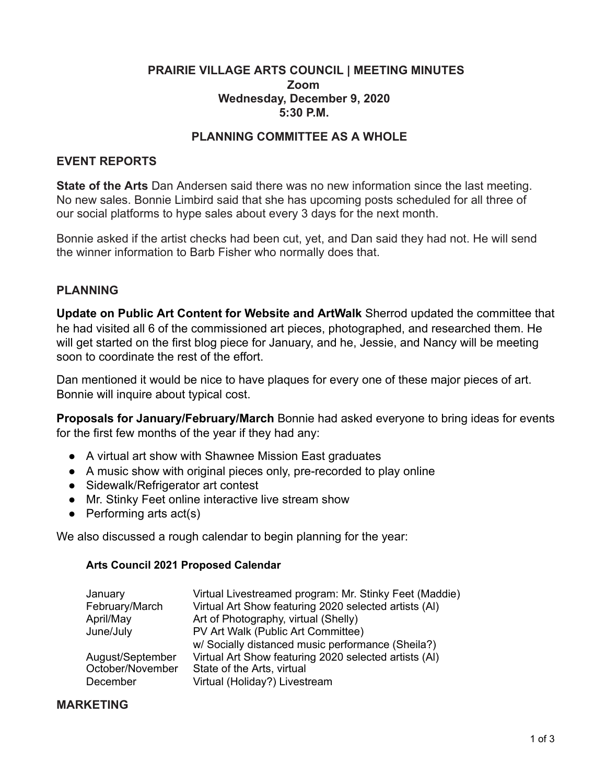## **PRAIRIE VILLAGE ARTS COUNCIL | MEETING MINUTES Zoom Wednesday, December 9, 2020 5:30 P.M.**

## **PLANNING COMMITTEE AS A WHOLE**

### **EVENT REPORTS**

**State of the Arts** Dan Andersen said there was no new information since the last meeting. No new sales. Bonnie Limbird said that she has upcoming posts scheduled for all three of our social platforms to hype sales about every 3 days for the next month.

Bonnie asked if the artist checks had been cut, yet, and Dan said they had not. He will send the winner information to Barb Fisher who normally does that.

### **PLANNING**

**Update on Public Art Content for Website and ArtWalk** Sherrod updated the committee that he had visited all 6 of the commissioned art pieces, photographed, and researched them. He will get started on the first blog piece for January, and he, Jessie, and Nancy will be meeting soon to coordinate the rest of the effort.

Dan mentioned it would be nice to have plaques for every one of these major pieces of art. Bonnie will inquire about typical cost.

**Proposals for January/February/March** Bonnie had asked everyone to bring ideas for events for the first few months of the year if they had any:

- A virtual art show with Shawnee Mission East graduates
- A music show with original pieces only, pre-recorded to play online
- Sidewalk/Refrigerator art contest
- Mr. Stinky Feet online interactive live stream show
- $\bullet$  Performing arts act(s)

We also discussed a rough calendar to begin planning for the year:

#### **Arts Council 2021 Proposed Calendar**

| January          | Virtual Livestreamed program: Mr. Stinky Feet (Maddie) |
|------------------|--------------------------------------------------------|
| February/March   | Virtual Art Show featuring 2020 selected artists (AI)  |
| April/May        | Art of Photography, virtual (Shelly)                   |
| June/July        | PV Art Walk (Public Art Committee)                     |
|                  | w/ Socially distanced music performance (Sheila?)      |
| August/September | Virtual Art Show featuring 2020 selected artists (AI)  |
| October/November | State of the Arts, virtual                             |
| December         | Virtual (Holiday?) Livestream                          |

### **MARKETING**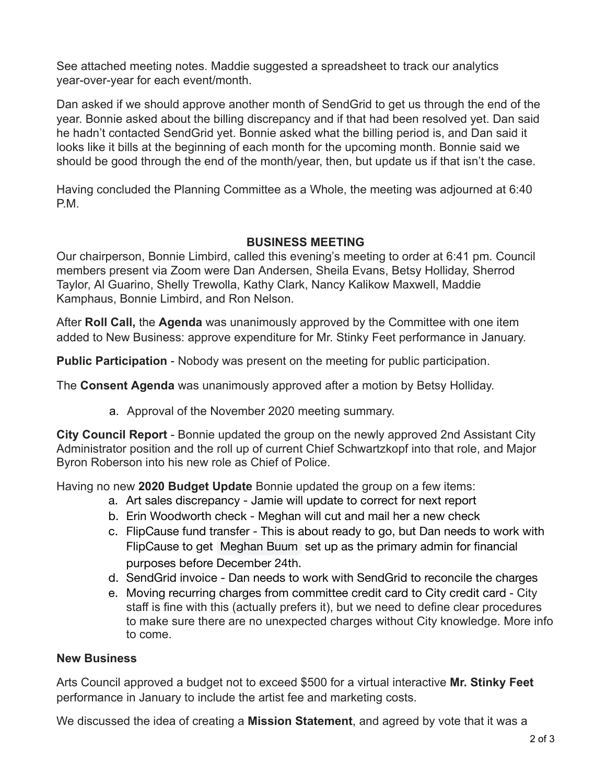See attached meeting notes. Maddie suggested a spreadsheet to track our analytics year-over-year for each event/month.

Dan asked if we should approve another month of SendGrid to get us through the end of the year. Bonnie asked about the billing discrepancy and if that had been resolved yet. Dan said he hadn't contacted SendGrid yet. Bonnie asked what the billing period is, and Dan said it looks like it bills at the beginning of each month for the upcoming month. Bonnie said we should be good through the end of the month/year, then, but update us if that isn't the case.

Having concluded the Planning Committee as a Whole, the meeting was adjourned at 6:40 P.M.

## **BUSINESS MEETING**

Our chairperson, Bonnie Limbird, called this evening's meeting to order at 6:41 pm. Council members present via Zoom were Dan Andersen, Sheila Evans, Betsy Holliday, Sherrod Taylor, Al Guarino, Shelly Trewolla, Kathy Clark, Nancy Kalikow Maxwell, Maddie Kamphaus, Bonnie Limbird, and Ron Nelson.

After **Roll Call,** the **Agenda** was unanimously approved by the Committee with one item added to New Business: approve expenditure for Mr. Stinky Feet performance in January.

**Public Participation** - Nobody was present on the meeting for public participation.

The **Consent Agenda** was unanimously approved after a motion by Betsy Holliday.

a. Approval of the November 2020 meeting summary.

**City Council Report** - Bonnie updated the group on the newly approved 2nd Assistant City Administrator position and the roll up of current Chief Schwartzkopf into that role, and Major Byron Roberson into his new role as Chief of Police.

Having no new **2020 Budget Update** Bonnie updated the group on a few items:

- a. Art sales discrepancy Jamie will update to correct for next report
- b. Erin Woodworth check Meghan will cut and mail her a new check
- c. FlipCause fund transfer This is about ready to go, but Dan needs to work with FlipCause to get Meghan Buum set up as the primary admin for financial purposes before December 24th.
- d. SendGrid invoice Dan needs to work with SendGrid to reconcile the charges
- e. Moving recurring charges from committee credit card to City credit card City staff is fine with this (actually prefers it), but we need to define clear procedures to make sure there are no unexpected charges without City knowledge. More info to come.

# **New Business**

Arts Council approved a budget not to exceed \$500 for a virtual interactive **Mr. Stinky Feet**  performance in January to include the artist fee and marketing costs.

We discussed the idea of creating a **Mission Statement**, and agreed by vote that it was a